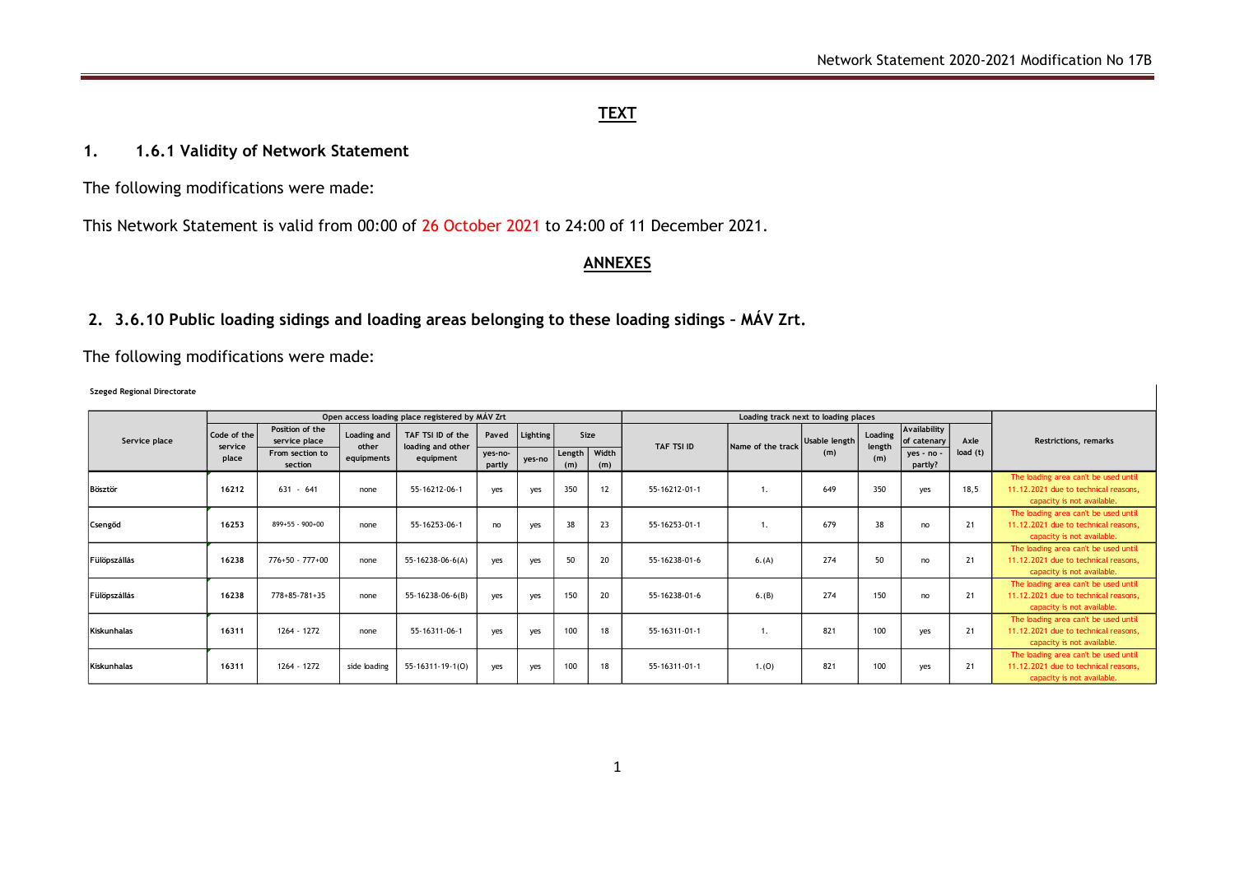## **TEXT**

### **1. 1.6.1 Validity of Network Statement**

The following modifications were made:

This Network Statement is valid from 00:00 of 26 October 2021 to 24:00 of 11 December 2021.

### **ANNEXES**

# **2. 3.6.10 Public loading sidings and loading areas belonging to these loading sidings – MÁV Zrt.**

The following modifications were made:

#### **Szeged Regional Directorate**

|                     |                                 |                                                     |                                           | Open access loading place registered by MÁV Zrt     |                            |                    |                         |     |               |                   |                      |                          |                                           |                 |                                                                                                            |
|---------------------|---------------------------------|-----------------------------------------------------|-------------------------------------------|-----------------------------------------------------|----------------------------|--------------------|-------------------------|-----|---------------|-------------------|----------------------|--------------------------|-------------------------------------------|-----------------|------------------------------------------------------------------------------------------------------------|
| Service place       | Code of the<br>service<br>place | Position of the<br>service place<br>From section to | <b>Loading and</b><br>other<br>equipments | TAF TSI ID of the<br>loading and other<br>equipment | Paved<br>yes-no-<br>partly | Lighting<br>yes-no | Size<br>Width<br>Length |     | TAF TSI ID    | Name of the track | Usable length<br>(m) | Loading<br>length<br>(m) | Availability<br>of catenary<br>ves - no - | Axle<br>load(t) | <b>Restrictions, remarks</b>                                                                               |
|                     |                                 | section                                             |                                           |                                                     |                            |                    | (m)                     | (m) |               |                   |                      |                          | partly?                                   |                 |                                                                                                            |
| <b>Bösztör</b>      | 16212                           | $631 - 641$                                         | none                                      | 55-16212-06-1                                       | yes                        | yes                | 350                     | 12  | 55-16212-01-1 | 1.                | 649                  | 350                      | yes                                       | 18,5            | The loading area can't be used until<br>11.12.2021 due to technical reasons.<br>capacity is not available. |
| Csengőd             | 16253                           | 899+55 - 900+00                                     | none                                      | 55-16253-06-1                                       | no                         | yes                | 38                      | 23  | 55-16253-01-1 |                   | 679                  | 38                       | no                                        | 21              | The loading area can't be used until<br>11.12.2021 due to technical reasons,<br>capacity is not available. |
| <b>Fülöpszállás</b> | 16238                           | $776+50 - 777+00$                                   | none                                      | 55-16238-06-6(A)                                    | yes                        | ves                | 50                      | 20  | 55-16238-01-6 | 6. (A)            | 274                  | 50                       | no                                        | 21              | The loading area can't be used until<br>11.12.2021 due to technical reasons.<br>capacity is not available. |
| <b>Fülöpszállás</b> | 16238                           | 778+85-781+35                                       | none                                      | 55-16238-06-6(B)                                    | yes                        | yes                | 150                     | 20  | 55-16238-01-6 | 6.(B)             | 274                  | 150                      | no                                        | 21              | The loading area can't be used until<br>11.12.2021 due to technical reasons,<br>capacity is not available. |
| Kiskunhalas         | 16311                           | 1264 - 1272                                         | none                                      | 55-16311-06-1                                       | yes                        | yes                | 100                     | 18  | 55-16311-01-1 | 1.                | 821                  | 100                      | yes                                       | 21              | The loading area can't be used until<br>11.12.2021 due to technical reasons.<br>capacity is not available. |
| <b>Kiskunhalas</b>  | 16311                           | 1264 - 1272                                         | side loading                              | 55-16311-19-1(0)                                    | yes                        | yes                | 100                     | 18  | 55-16311-01-1 | 1.(0)             | 821                  | 100                      | yes                                       | 21              | The loading area can't be used until<br>11.12.2021 due to technical reasons,<br>capacity is not available. |